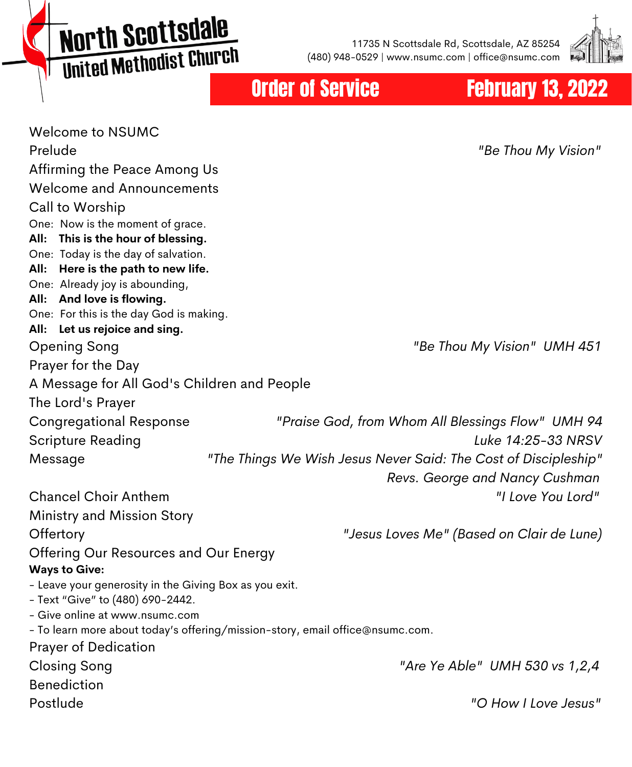North Scottsdale United Methodist Church

11735 N Scottsdale Rd, Scottsdale, AZ 85254 (480) 948-0529 | www.nsumc.com | office@nsumc.com



#### **Order of Service February 13, 2022**

Welcome to NSUMC Prelude *"Be Thou My Vision"* Affirming the Peace Among Us Welcome and Announcements Call to Worship One: Now is the moment of grace. **All: This is the hour of blessing.** One: Today is the day of salvation. **All: Here is the path to new life.** One: Already joy is abounding, **All: And love is flowing.** One: For this is the day God is making. **All: Let us rejoice and sing.** Opening Song *"Be Thou My Vision" UMH 451* Prayer for the Day A Message for All God's Children and People The Lord's Prayer Congregational Response *"Praise God, from Whom All Blessings Flow" UMH 94* Scripture Reading *Luke 14:25-33 NRSV* Message *"The Things We Wish Jesus Never Said: The Cost of Discipleship" Revs. George and Nancy Cushman* Chancel Choir Anthem *"I Love You Lord"* Ministry and Mission Story Offertory *"Jesus Loves Me" (Based on Clair de Lune)* Offering Our Resources and Our Energy **Ways to Give:** - Leave your generosity in the Giving Box as you exit. - Text "Give" to (480) 690-2442. - Give online at www.nsumc.com - To learn more about today's offering/mission-story, email office@nsumc.com. Prayer of Dedication Closing Song *"Are Ye Able" UMH 530 vs 1,2,4* Benediction Postlude *"O How I Love Jesus"*